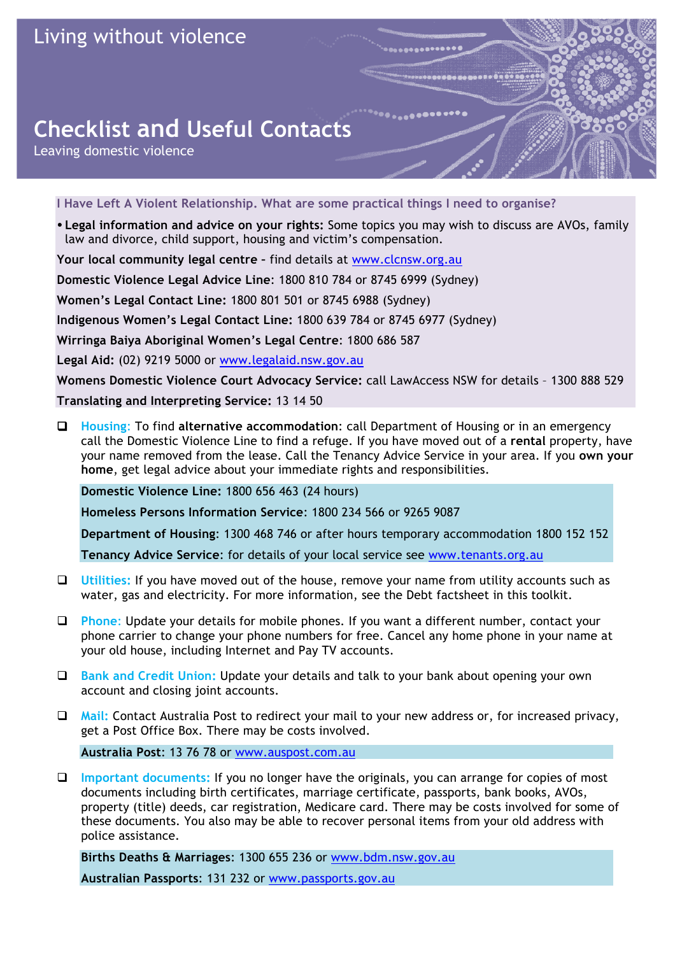## **Checklist and Useful Contacts**

Leaving domestic violence

**I Have Left A Violent Relationship. What are some practical things I need to organise?**

 **Legal information and advice on your rights:** Some topics you may wish to discuss are AVOs, family law and divorce, child support, housing and victim's compensation.

**Your local community legal centre –** find details at www.clcnsw.org.au

**Domestic Violence Legal Advice Line**: 1800 810 784 or 8745 6999 (Sydney)

**Women's Legal Contact Line:** 1800 801 501 or 8745 6988 (Sydney)

**Indigenous Women's Legal Contact Line:** 1800 639 784 or 8745 6977 (Sydney)

**Wirringa Baiya Aboriginal Women's Legal Centre**: 1800 686 587

**Legal Aid:** (02) 9219 5000 or www.legalaid.nsw.gov.au

**Womens Domestic Violence Court Advocacy Service:** call LawAccess NSW for details – 1300 888 529 **Translating and Interpreting Service:** 13 14 50

 **Housing**: To find **alternative accommodation**: call Department of Housing or in an emergency call the Domestic Violence Line to find a refuge. If you have moved out of a **rental** property, have your name removed from the lease. Call the Tenancy Advice Service in your area. If you **own your home**, get legal advice about your immediate rights and responsibilities.

**Domestic Violence Line:** 1800 656 463 (24 hours)

**Homeless Persons Information Service**: 1800 234 566 or 9265 9087

**Department of Housing**: 1300 468 746 or after hours temporary accommodation 1800 152 152

**Tenancy Advice Service**: for details of your local service see www.tenants.org.au

- **Utilities:** If you have moved out of the house, remove your name from utility accounts such as water, gas and electricity. For more information, see the Debt factsheet in this toolkit.
- **Phone**: Update your details for mobile phones. If you want a different number, contact your phone carrier to change your phone numbers for free. Cancel any home phone in your name at your old house, including Internet and Pay TV accounts.
- **Bank and Credit Union:** Update your details and talk to your bank about opening your own account and closing joint accounts.
- **Mail:** Contact Australia Post to redirect your mail to your new address or, for increased privacy, get a Post Office Box. There may be costs involved.

**Australia Post**: 13 76 78 or www.auspost.com.au

 **Important documents:** If you no longer have the originals, you can arrange for copies of most documents including birth certificates, marriage certificate, passports, bank books, AVOs, property (title) deeds, car registration, Medicare card. There may be costs involved for some of these documents. You also may be able to recover personal items from your old address with police assistance.

**Births Deaths & Marriages**: 1300 655 236 or www.bdm.nsw.gov.au

**Australian Passports**: 131 232 or www.passports.gov.au